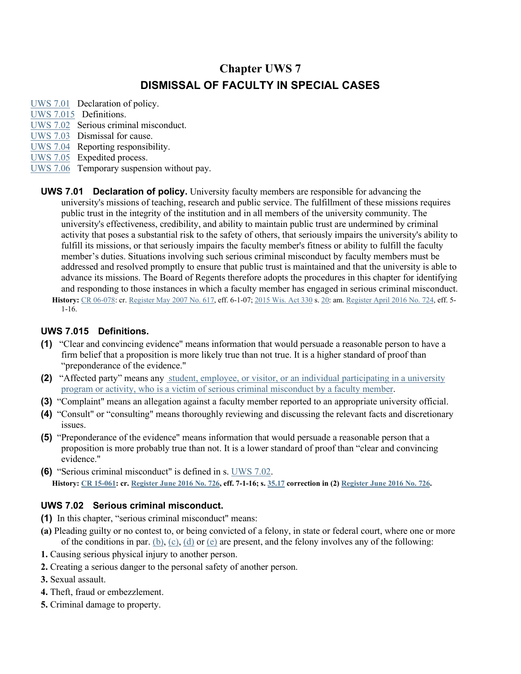# **Chapter UWS 7 DISMISSAL OF FACULTY IN SPECIAL CASES**

- [UWS 7.01](http://docs.legis.wisconsin.gov/document/administrativecode/UWS%207.01) Declaration of policy. [UWS 7.015](http://docs.legis.wisconsin.gov/document/administrativecode/UWS%207.015) Definitions. [UWS 7.02](http://docs.legis.wisconsin.gov/document/administrativecode/UWS%207.02) Serious criminal misconduct. [UWS 7.03](http://docs.legis.wisconsin.gov/document/administrativecode/UWS%207.03) Dismissal for cause. [UWS 7.04](http://docs.legis.wisconsin.gov/document/administrativecode/UWS%207.04) Reporting responsibility. [UWS 7.05](http://docs.legis.wisconsin.gov/document/administrativecode/UWS%207.05) Expedited process. [UWS 7.06](http://docs.legis.wisconsin.gov/document/administrativecode/UWS%207.06) Temporary suspension without pay.
	- **UWS 7.01 Declaration of policy.** University faculty members are responsible for advancing the university's missions of teaching, research and public service. The fulfillment of these missions requires public trust in the integrity of the institution and in all members of the university community. The university's effectiveness, credibility, and ability to maintain public trust are undermined by criminal activity that poses a substantial risk to the safety of others, that seriously impairs the university's ability to fulfill its missions, or that seriously impairs the faculty member's fitness or ability to fulfill the faculty member's duties. Situations involving such serious criminal misconduct by faculty members must be addressed and resolved promptly to ensure that public trust is maintained and that the university is able to advance its missions. The Board of Regents therefore adopts the procedures in this chapter for identifying and responding to those instances in which a faculty member has engaged in serious criminal misconduct. **History:** [CR 06-078:](http://docs.legis.wisconsin.gov/document/cr/2006/78) cr. [Register May 2007 No. 617,](http://docs.legis.wisconsin.gov/document/register/617/B/toc) eff. 6-1-07; [2015 Wis. Act 330](http://docs.legis.wisconsin.gov/document/acts/2015/330) s. [20:](http://docs.legis.wisconsin.gov/document/acts/2015/330,%20s.%2020) am. [Register April 2016 No. 724,](http://docs.legis.wisconsin.gov/document/register/724/B/toc) eff. 5-

### **UWS 7.015 Definitions.**

1-16.

- **(1)** "Clear and convincing evidence" means information that would persuade a reasonable person to have a firm belief that a proposition is more likely true than not true. It is a higher standard of proof than "preponderance of the evidence."
- **(2)** "Affected party" means any student, employee, or visitor, or an individual participating in a university program or activity, who is a victim of serious criminal misconduct by a faculty member.
- **(3)** "Complaint" means an allegation against a faculty member reported to an appropriate university official.
- **(4)** "Consult" or "consulting" means thoroughly reviewing and discussing the relevant facts and discretionary issues.
- **(5)** "Preponderance of the evidence" means information that would persuade a reasonable person that a proposition is more probably true than not. It is a lower standard of proof than "clear and convincing evidence."
- **(6)** "Serious criminal misconduct" is defined in s. [UWS 7.02.](http://docs.legis.wisconsin.gov/document/administrativecode/UWS%207.02) **History: [CR 15-061:](http://docs.legis.wisconsin.gov/document/cr/2015/61) cr. [Register June 2016 No. 726,](http://docs.legis.wisconsin.gov/document/register/726/B/toc) eff. 7-1-16; s. [35.17](http://docs.legis.wisconsin.gov/document/statutes/35.17) correction in (2) [Register June 2016 No. 726.](http://docs.legis.wisconsin.gov/document/register/726/B/toc)**

# **UWS 7.02 Serious criminal misconduct.**

- **(1)** In this chapter, "serious criminal misconduct" means:
- **(a)** Pleading guilty or no contest to, or being convicted of a felony, in state or federal court, where one or more of the conditions in par. [\(b\),](http://docs.legis.wisconsin.gov/document/administrativecode/UWS%207.02(1)(b)) [\(c\),](http://docs.legis.wisconsin.gov/document/administrativecode/UWS%207.02(1)(c)) [\(d\)](http://docs.legis.wisconsin.gov/document/administrativecode/UWS%207.02(1)(d)) or [\(e\)](http://docs.legis.wisconsin.gov/document/administrativecode/UWS%207.02(1)(e)) are present, and the felony involves any of the following:
- **1.** Causing serious physical injury to another person.
- **2.** Creating a serious danger to the personal safety of another person.
- **3.** Sexual assault.
- **4.** Theft, fraud or embezzlement.
- **5.** Criminal damage to property.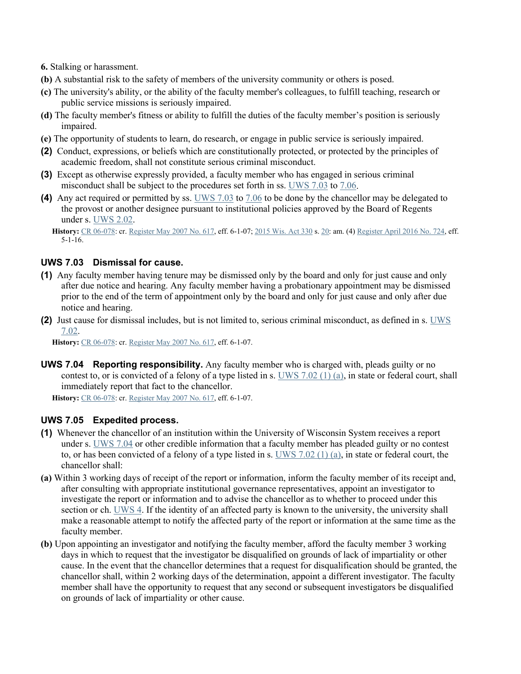- **6.** Stalking or harassment.
- **(b)** A substantial risk to the safety of members of the university community or others is posed.
- **(c)** The university's ability, or the ability of the faculty member's colleagues, to fulfill teaching, research or public service missions is seriously impaired.
- **(d)** The faculty member's fitness or ability to fulfill the duties of the faculty member's position is seriously impaired.
- **(e)** The opportunity of students to learn, do research, or engage in public service is seriously impaired.
- **(2)** Conduct, expressions, or beliefs which are constitutionally protected, or protected by the principles of academic freedom, shall not constitute serious criminal misconduct.
- **(3)** Except as otherwise expressly provided, a faculty member who has engaged in serious criminal misconduct shall be subject to the procedures set forth in ss. [UWS 7.03](http://docs.legis.wisconsin.gov/document/administrativecode/UWS%207.03) to [7.06.](http://docs.legis.wisconsin.gov/document/administrativecode/UWS%207.06)
- **(4)** Any act required or permitted by ss. [UWS 7.03](http://docs.legis.wisconsin.gov/document/administrativecode/UWS%207.03) to [7.06](http://docs.legis.wisconsin.gov/document/administrativecode/UWS%207.06) to be done by the chancellor may be delegated to the provost or another designee pursuant to institutional policies approved by the Board of Regents under s. [UWS 2.02.](http://docs.legis.wisconsin.gov/document/administrativecode/UWS%202.02)

**History:** [CR 06-078:](http://docs.legis.wisconsin.gov/document/cr/2006/78) cr. [Register May 2007 No. 617,](http://docs.legis.wisconsin.gov/document/register/617/B/toc) eff. 6-1-07; [2015 Wis. Act 330](http://docs.legis.wisconsin.gov/document/acts/2015/330) s. [20:](http://docs.legis.wisconsin.gov/document/acts/2015/330,%20s.%2020) am. (4) [Register April 2016 No. 724,](http://docs.legis.wisconsin.gov/document/register/724/B/toc) eff. 5-1-16.

## **UWS 7.03 Dismissal for cause.**

- **(1)** Any faculty member having tenure may be dismissed only by the board and only for just cause and only after due notice and hearing. Any faculty member having a probationary appointment may be dismissed prior to the end of the term of appointment only by the board and only for just cause and only after due notice and hearing.
- **(2)** Just cause for dismissal includes, but is not limited to, serious criminal misconduct, as defined in s. [UWS](http://docs.legis.wisconsin.gov/document/administrativecode/UWS%207.02)  [7.02.](http://docs.legis.wisconsin.gov/document/administrativecode/UWS%207.02)

**History:** [CR 06-078:](http://docs.legis.wisconsin.gov/document/cr/2006/78) cr. [Register May 2007 No. 617,](http://docs.legis.wisconsin.gov/document/register/617/B/toc) eff. 6-1-07.

**UWS 7.04 Reporting responsibility.** Any faculty member who is charged with, pleads guilty or no contest to, or is convicted of a felony of a type listed in s. [UWS 7.02 \(1\) \(a\),](http://docs.legis.wisconsin.gov/document/administrativecode/UWS%207.02(1)(a)) in state or federal court, shall immediately report that fact to the chancellor.

**History:** [CR 06-078:](http://docs.legis.wisconsin.gov/document/cr/2006/78) cr. [Register May 2007 No. 617,](http://docs.legis.wisconsin.gov/document/register/617/B/toc) eff. 6-1-07.

#### **UWS 7.05 Expedited process.**

- **(1)** Whenever the chancellor of an institution within the University of Wisconsin System receives a report under s. [UWS 7.04](http://docs.legis.wisconsin.gov/document/administrativecode/UWS%207.04) or other credible information that a faculty member has pleaded guilty or no contest to, or has been convicted of a felony of a type listed in s. [UWS 7.02 \(1\) \(a\),](http://docs.legis.wisconsin.gov/document/administrativecode/UWS%207.02(1)(a)) in state or federal court, the chancellor shall:
- **(a)** Within 3 working days of receipt of the report or information, inform the faculty member of its receipt and, after consulting with appropriate institutional governance representatives, appoint an investigator to investigate the report or information and to advise the chancellor as to whether to proceed under this section or ch. [UWS 4.](http://docs.legis.wisconsin.gov/document/administrativecode/ch.%20UWS%204) If the identity of an affected party is known to the university, the university shall make a reasonable attempt to notify the affected party of the report or information at the same time as the faculty member.
- **(b)** Upon appointing an investigator and notifying the faculty member, afford the faculty member 3 working days in which to request that the investigator be disqualified on grounds of lack of impartiality or other cause. In the event that the chancellor determines that a request for disqualification should be granted, the chancellor shall, within 2 working days of the determination, appoint a different investigator. The faculty member shall have the opportunity to request that any second or subsequent investigators be disqualified on grounds of lack of impartiality or other cause.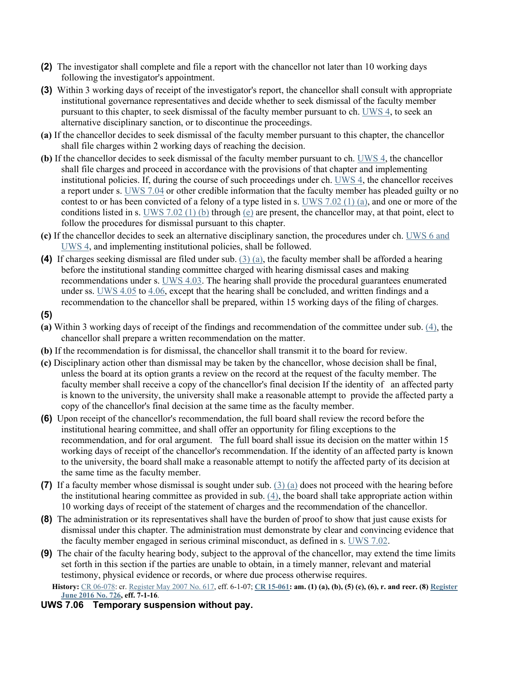- **(2)** The investigator shall complete and file a report with the chancellor not later than 10 working days following the investigator's appointment.
- **(3)** Within 3 working days of receipt of the investigator's report, the chancellor shall consult with appropriate institutional governance representatives and decide whether to seek dismissal of the faculty member pursuant to this chapter, to seek dismissal of the faculty member pursuant to ch. [UWS 4,](http://docs.legis.wisconsin.gov/document/administrativecode/ch.%20UWS%204) to seek an alternative disciplinary sanction, or to discontinue the proceedings.
- **(a)** If the chancellor decides to seek dismissal of the faculty member pursuant to this chapter, the chancellor shall file charges within 2 working days of reaching the decision.
- **(b)** If the chancellor decides to seek dismissal of the faculty member pursuant to ch. [UWS 4,](http://docs.legis.wisconsin.gov/document/administrativecode/ch.%20UWS%204) the chancellor shall file charges and proceed in accordance with the provisions of that chapter and implementing institutional policies. If, during the course of such proceedings under ch. [UWS 4,](http://docs.legis.wisconsin.gov/document/administrativecode/ch.%20UWS%204) the chancellor receives a report under s. [UWS 7.04](http://docs.legis.wisconsin.gov/document/administrativecode/UWS%207.04) or other credible information that the faculty member has pleaded guilty or no contest to or has been convicted of a felony of a type listed in s. [UWS 7.02 \(1\) \(a\),](http://docs.legis.wisconsin.gov/document/administrativecode/UWS%207.02(1)(a)) and one or more of the conditions listed in s. [UWS 7.02 \(1\) \(b\)](http://docs.legis.wisconsin.gov/document/administrativecode/UWS%207.02(1)(b)) through [\(e\)](http://docs.legis.wisconsin.gov/document/administrativecode/UWS%207.02(1)(e)) are present, the chancellor may, at that point, elect to follow the procedures for dismissal pursuant to this chapter.
- **(c)** If the chancellor decides to seek an alternative disciplinary sanction, the procedures under ch. [UWS 6](http://docs.legis.wisconsin.gov/document/administrativecode/ch.%20UWS%206) and UWS 4, and implementing institutional policies, shall be followed.
- **(4)** If charges seeking dismissal are filed under sub. [\(3\) \(a\),](http://docs.legis.wisconsin.gov/document/administrativecode/UWS%207.05(3)(a)) the faculty member shall be afforded a hearing before the institutional standing committee charged with hearing dismissal cases and making recommendations under s. [UWS 4.03.](http://docs.legis.wisconsin.gov/document/administrativecode/UWS%204.03) The hearing shall provide the procedural guarantees enumerated under ss. [UWS 4.05](http://docs.legis.wisconsin.gov/document/administrativecode/UWS%204.05) to [4.06,](http://docs.legis.wisconsin.gov/document/administrativecode/UWS%204.06) except that the hearing shall be concluded, and written findings and a recommendation to the chancellor shall be prepared, within 15 working days of the filing of charges.
- **(5)**
- **(a)** Within 3 working days of receipt of the findings and recommendation of the committee under sub. [\(4\),](http://docs.legis.wisconsin.gov/document/administrativecode/UWS%207.05(4)) the chancellor shall prepare a written recommendation on the matter.
- **(b)** If the recommendation is for dismissal, the chancellor shall transmit it to the board for review.
- **(c)** Disciplinary action other than dismissal may be taken by the chancellor, whose decision shall be final, unless the board at its option grants a review on the record at the request of the faculty member. The faculty member shall receive a copy of the chancellor's final decision If the identity of an affected party is known to the university, the university shall make a reasonable attempt to provide the affected party a copy of the chancellor's final decision at the same time as the faculty member.
- **(6)** Upon receipt of the chancellor's recommendation, the full board shall review the record before the institutional hearing committee, and shall offer an opportunity for filing exceptions to the recommendation, and for oral argument. The full board shall issue its decision on the matter within 15 working days of receipt of the chancellor's recommendation. If the identity of an affected party is known to the university, the board shall make a reasonable attempt to notify the affected party of its decision at the same time as the faculty member.
- **(7)** If a faculty member whose dismissal is sought under sub. [\(3\) \(a\)](http://docs.legis.wisconsin.gov/document/administrativecode/UWS%207.05(3)(a)) does not proceed with the hearing before the institutional hearing committee as provided in sub. [\(4\),](http://docs.legis.wisconsin.gov/document/administrativecode/UWS%207.05(4)) the board shall take appropriate action within 10 working days of receipt of the statement of charges and the recommendation of the chancellor.
- **(8)** The administration or its representatives shall have the burden of proof to show that just cause exists for dismissal under this chapter. The administration must demonstrate by clear and convincing evidence that the faculty member engaged in serious criminal misconduct, as defined in s. [UWS 7.02.](http://docs.legis.wisconsin.gov/document/administrativecode/UWS%207.02)
- **(9)** The chair of the faculty hearing body, subject to the approval of the chancellor, may extend the time limits set forth in this section if the parties are unable to obtain, in a timely manner, relevant and material testimony, physical evidence or records, or where due process otherwise requires.

**History:** [CR 06-078:](http://docs.legis.wisconsin.gov/document/cr/2006/78) cr. [Register May 2007 No. 617,](http://docs.legis.wisconsin.gov/document/register/617/B/toc) eff. 6-1-07; **[CR 15-061:](http://docs.legis.wisconsin.gov/document/cr/2015/61) am. (1) (a), (b), (5) (c), (6), r. and recr. (8) [Register](http://docs.legis.wisconsin.gov/document/register/726/B/toc)  [June 2016 No. 726,](http://docs.legis.wisconsin.gov/document/register/726/B/toc) eff. 7-1-16**.

**UWS 7.06 Temporary suspension without pay.**